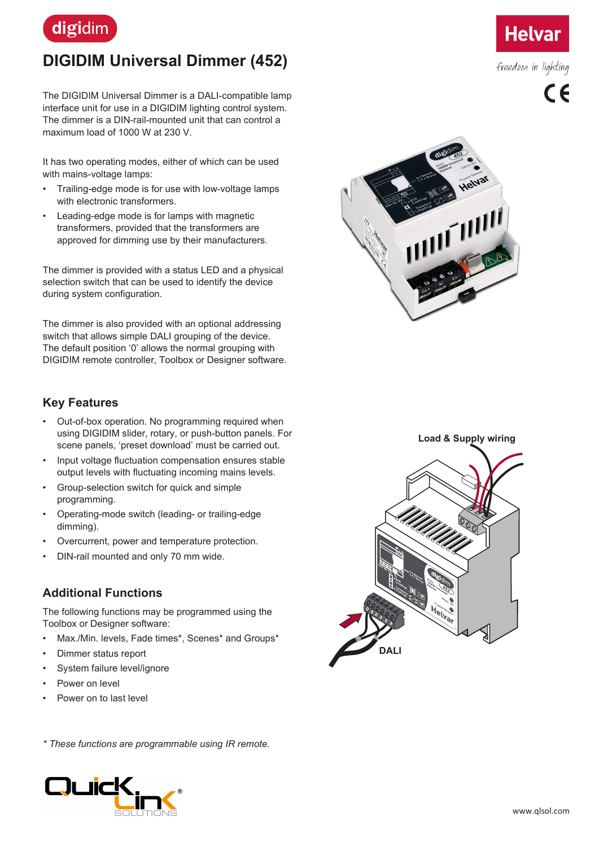

# **DIGIDIM Universal Dimmer (452)**

The DIGIDIM Universal Dimmer is a DALI-compatible lamp interface unit for use in a DIGIDIM lighting control system. The dimmer is a DIN-rail-mounted unit that can control a maximum load of 1000 W at 230 V.

It has two operating modes, either of which can be used with mains-voltage lamps:

- Trailing-edge mode is for use with low-voltage lamps with electronic transformers.
- Leading-edge mode is for lamps with magnetic transformers, provided that the transformers are approved for dimming use by their manufacturers.

The dimmer is provided with a status LED and a physical selection switch that can be used to identify the device during system configuration.

The dimmer is also provided with an optional addressing switch that allows simple DALI grouping of the device. The default position '0' allows the normal grouping with DIGIDIM remote controller, Toolbox or Designer software.

#### **Key Features**

- Out-of-box operation. No programming required when using DIGIDIM slider, rotary, or push-button panels. For scene panels, 'preset download' must be carried out.
- Input voltage fluctuation compensation ensures stable output levels with fluctuating incoming mains levels.
- Group-selection switch for quick and simple programming.
- Operating-mode switch (leading- or trailing-edge dimming).
- Overcurrent, power and temperature protection.
- DIN-rail mounted and only 70 mm wide.

### **Additional Functions**

The following functions may be programmed using the Toolbox or Designer software:

- Max./Min. levels, Fade times\*, Scenes\* and Groups\*
- Dimmer status report
- System failure level/ignore
- Power on level
- Power on to last level

*\* These functions are programmable using IR remote.*









freedom in lighting